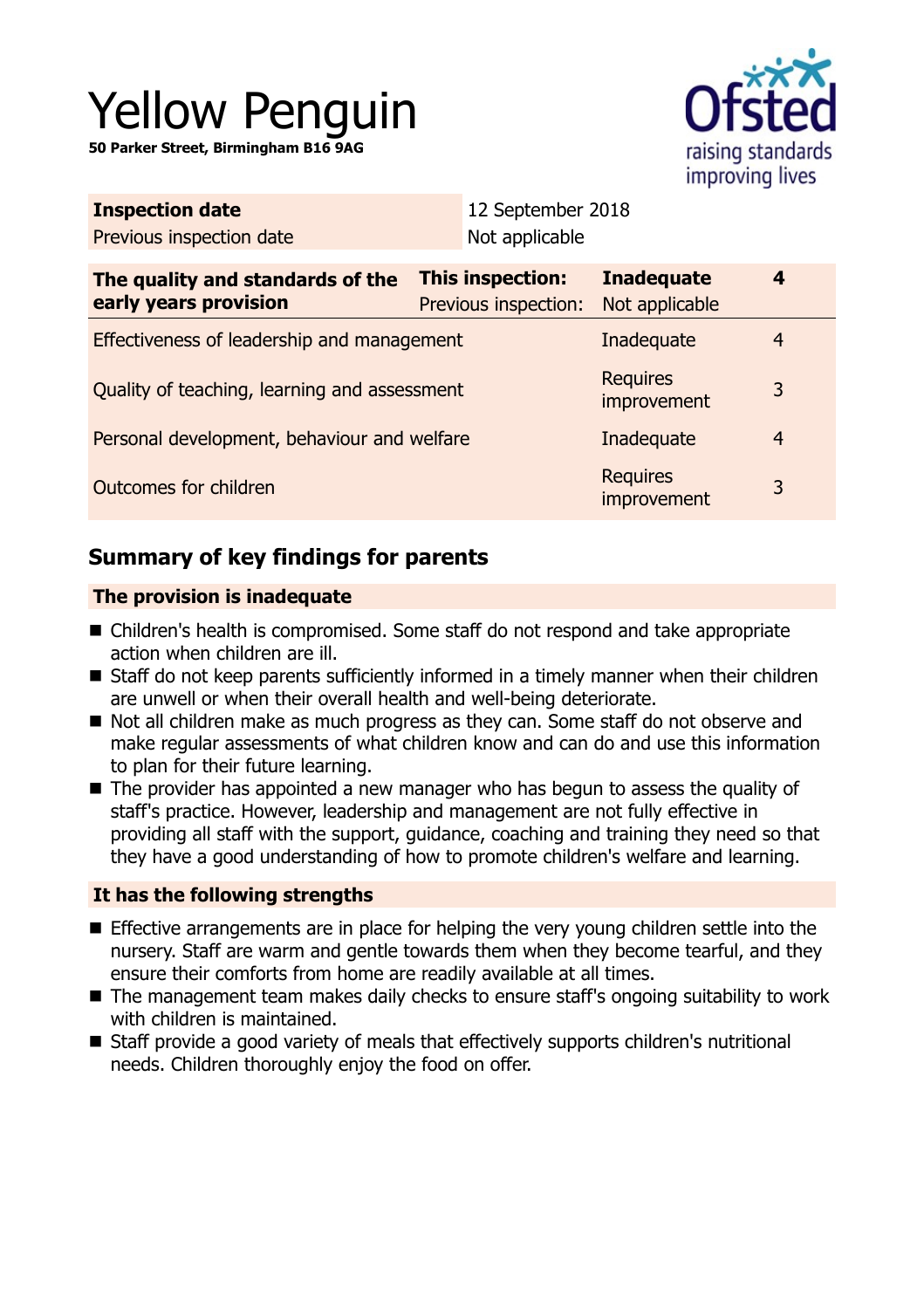# Yellow Penguin

**50 Parker Street, Birmingham B16 9AG**



| <b>Inspection date</b>                                    | 12 September 2018                        |                                     |                |  |
|-----------------------------------------------------------|------------------------------------------|-------------------------------------|----------------|--|
| Previous inspection date                                  | Not applicable                           |                                     |                |  |
| The quality and standards of the<br>early years provision | This inspection:<br>Previous inspection: | <b>Inadequate</b><br>Not applicable | 4              |  |
| Effectiveness of leadership and management                |                                          | Inadequate                          | 4              |  |
| Quality of teaching, learning and assessment              |                                          | <b>Requires</b><br>improvement      | 3              |  |
| Personal development, behaviour and welfare               |                                          | Inadequate                          | $\overline{4}$ |  |
| Outcomes for children                                     |                                          | <b>Requires</b><br>improvement      | 3              |  |

# **Summary of key findings for parents**

## **The provision is inadequate**

- Children's health is compromised. Some staff do not respond and take appropriate action when children are ill.
- $\blacksquare$  Staff do not keep parents sufficiently informed in a timely manner when their children are unwell or when their overall health and well-being deteriorate.
- Not all children make as much progress as they can. Some staff do not observe and make regular assessments of what children know and can do and use this information to plan for their future learning.
- $\blacksquare$  The provider has appointed a new manager who has begun to assess the quality of staff's practice. However, leadership and management are not fully effective in providing all staff with the support, guidance, coaching and training they need so that they have a good understanding of how to promote children's welfare and learning.

## **It has the following strengths**

- $\blacksquare$  Effective arrangements are in place for helping the very young children settle into the nursery. Staff are warm and gentle towards them when they become tearful, and they ensure their comforts from home are readily available at all times.
- The management team makes daily checks to ensure staff's ongoing suitability to work with children is maintained.
- Staff provide a good variety of meals that effectively supports children's nutritional needs. Children thoroughly enjoy the food on offer.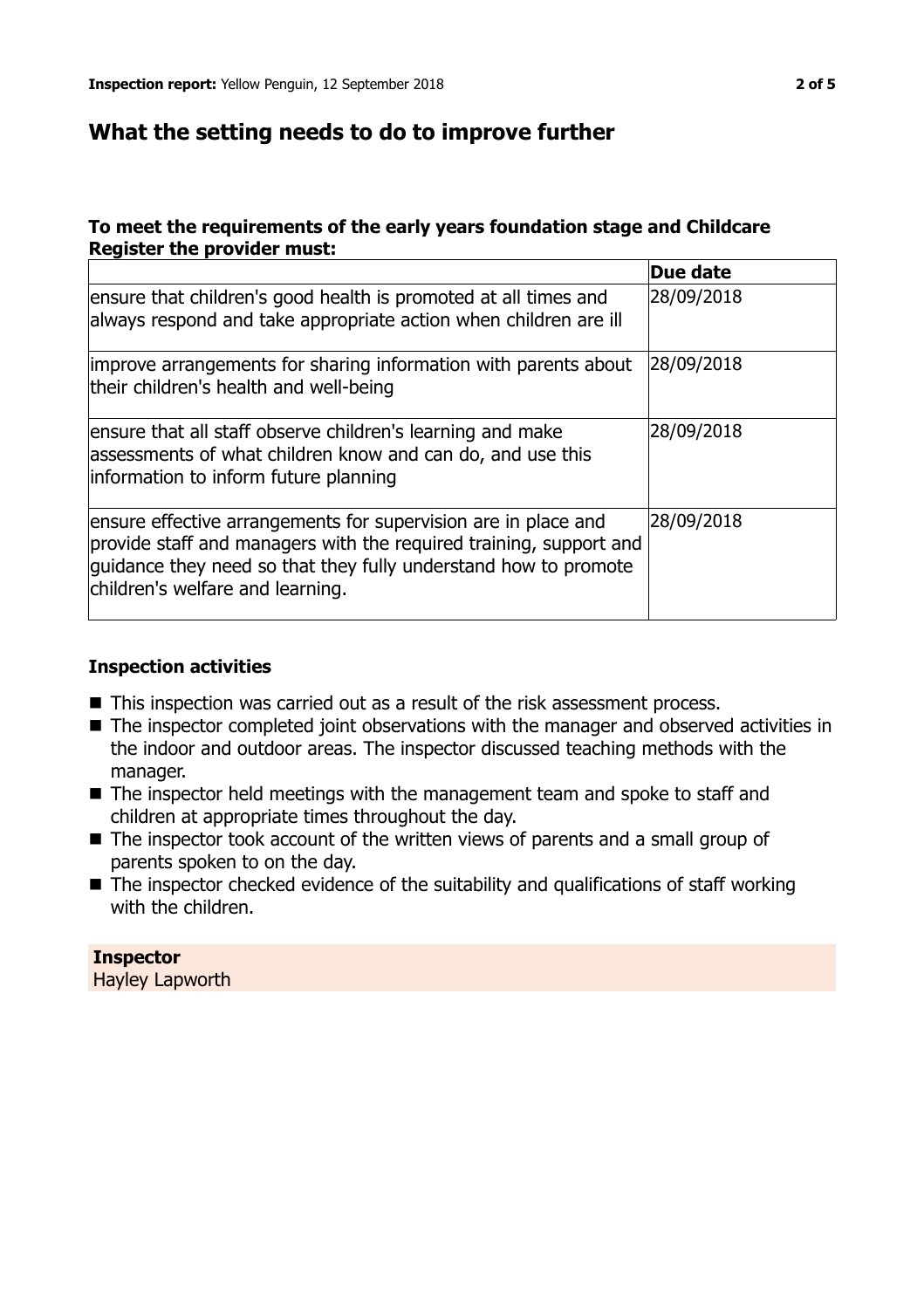# **What the setting needs to do to improve further**

## **To meet the requirements of the early years foundation stage and Childcare Register the provider must:**

|                                                                                                                                                                                                                                             | Due date   |
|---------------------------------------------------------------------------------------------------------------------------------------------------------------------------------------------------------------------------------------------|------------|
| ensure that children's good health is promoted at all times and<br>always respond and take appropriate action when children are ill                                                                                                         | 28/09/2018 |
| improve arrangements for sharing information with parents about<br>their children's health and well-being                                                                                                                                   | 28/09/2018 |
| ensure that all staff observe children's learning and make<br>assessments of what children know and can do, and use this<br>information to inform future planning                                                                           | 28/09/2018 |
| ensure effective arrangements for supervision are in place and<br>provide staff and managers with the required training, support and<br>guidance they need so that they fully understand how to promote<br>children's welfare and learning. | 28/09/2018 |

## **Inspection activities**

- $\blacksquare$  This inspection was carried out as a result of the risk assessment process.
- The inspector completed joint observations with the manager and observed activities in the indoor and outdoor areas. The inspector discussed teaching methods with the manager.
- $\blacksquare$  The inspector held meetings with the management team and spoke to staff and children at appropriate times throughout the day.
- $\blacksquare$  The inspector took account of the written views of parents and a small group of parents spoken to on the day.
- $\blacksquare$  The inspector checked evidence of the suitability and qualifications of staff working with the children.

**Inspector** Hayley Lapworth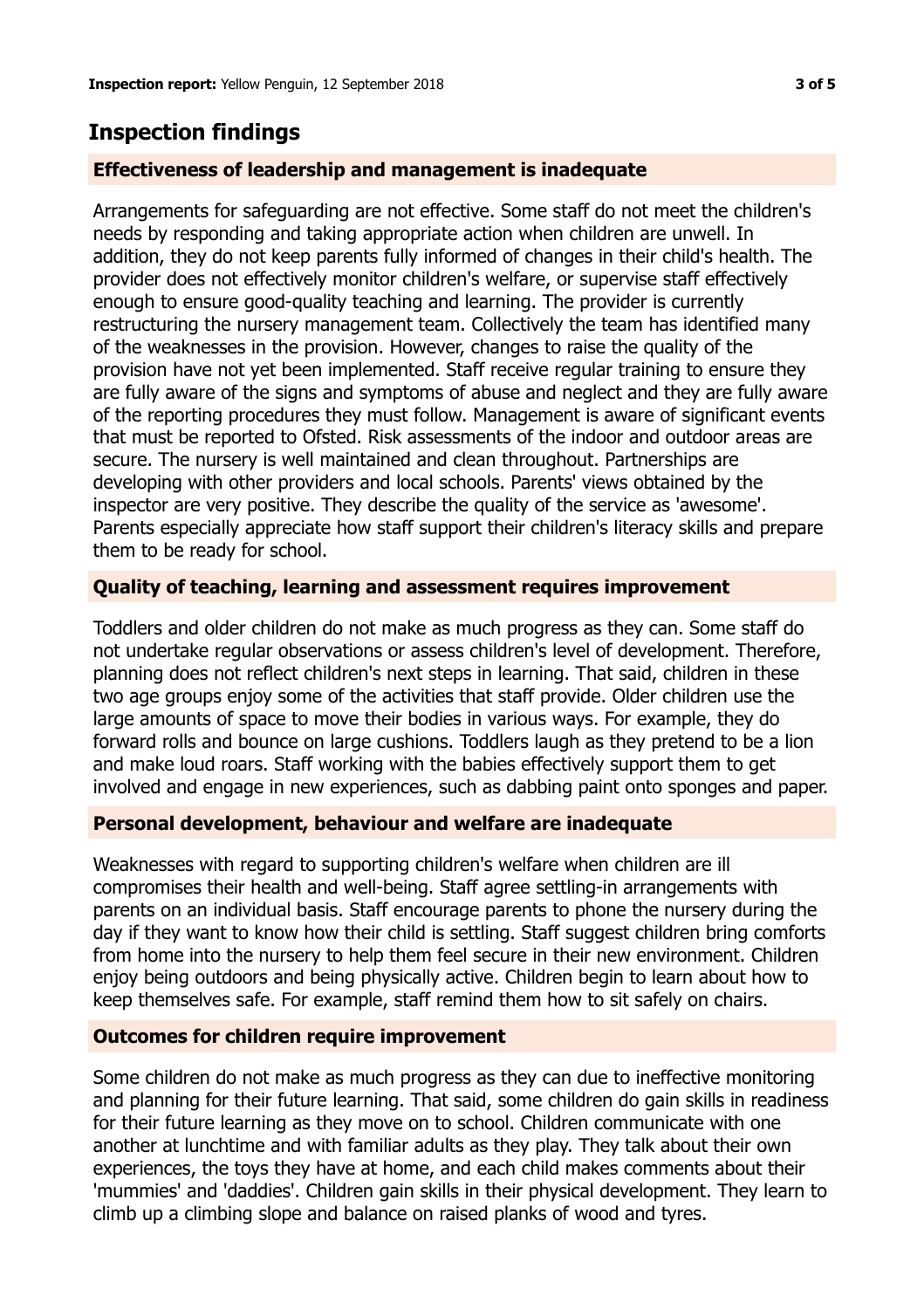# **Inspection findings**

## **Effectiveness of leadership and management is inadequate**

Arrangements for safeguarding are not effective. Some staff do not meet the children's needs by responding and taking appropriate action when children are unwell. In addition, they do not keep parents fully informed of changes in their child's health. The provider does not effectively monitor children's welfare, or supervise staff effectively enough to ensure good-quality teaching and learning. The provider is currently restructuring the nursery management team. Collectively the team has identified many of the weaknesses in the provision. However, changes to raise the quality of the provision have not yet been implemented. Staff receive regular training to ensure they are fully aware of the signs and symptoms of abuse and neglect and they are fully aware of the reporting procedures they must follow. Management is aware of significant events that must be reported to Ofsted. Risk assessments of the indoor and outdoor areas are secure. The nursery is well maintained and clean throughout. Partnerships are developing with other providers and local schools. Parents' views obtained by the inspector are very positive. They describe the quality of the service as 'awesome'. Parents especially appreciate how staff support their children's literacy skills and prepare them to be ready for school.

## **Quality of teaching, learning and assessment requires improvement**

Toddlers and older children do not make as much progress as they can. Some staff do not undertake regular observations or assess children's level of development. Therefore, planning does not reflect children's next steps in learning. That said, children in these two age groups enjoy some of the activities that staff provide. Older children use the large amounts of space to move their bodies in various ways. For example, they do forward rolls and bounce on large cushions. Toddlers laugh as they pretend to be a lion and make loud roars. Staff working with the babies effectively support them to get involved and engage in new experiences, such as dabbing paint onto sponges and paper.

## **Personal development, behaviour and welfare are inadequate**

Weaknesses with regard to supporting children's welfare when children are ill compromises their health and well-being. Staff agree settling-in arrangements with parents on an individual basis. Staff encourage parents to phone the nursery during the day if they want to know how their child is settling. Staff suggest children bring comforts from home into the nursery to help them feel secure in their new environment. Children enjoy being outdoors and being physically active. Children begin to learn about how to keep themselves safe. For example, staff remind them how to sit safely on chairs.

## **Outcomes for children require improvement**

Some children do not make as much progress as they can due to ineffective monitoring and planning for their future learning. That said, some children do gain skills in readiness for their future learning as they move on to school. Children communicate with one another at lunchtime and with familiar adults as they play. They talk about their own experiences, the toys they have at home, and each child makes comments about their 'mummies' and 'daddies'. Children gain skills in their physical development. They learn to climb up a climbing slope and balance on raised planks of wood and tyres.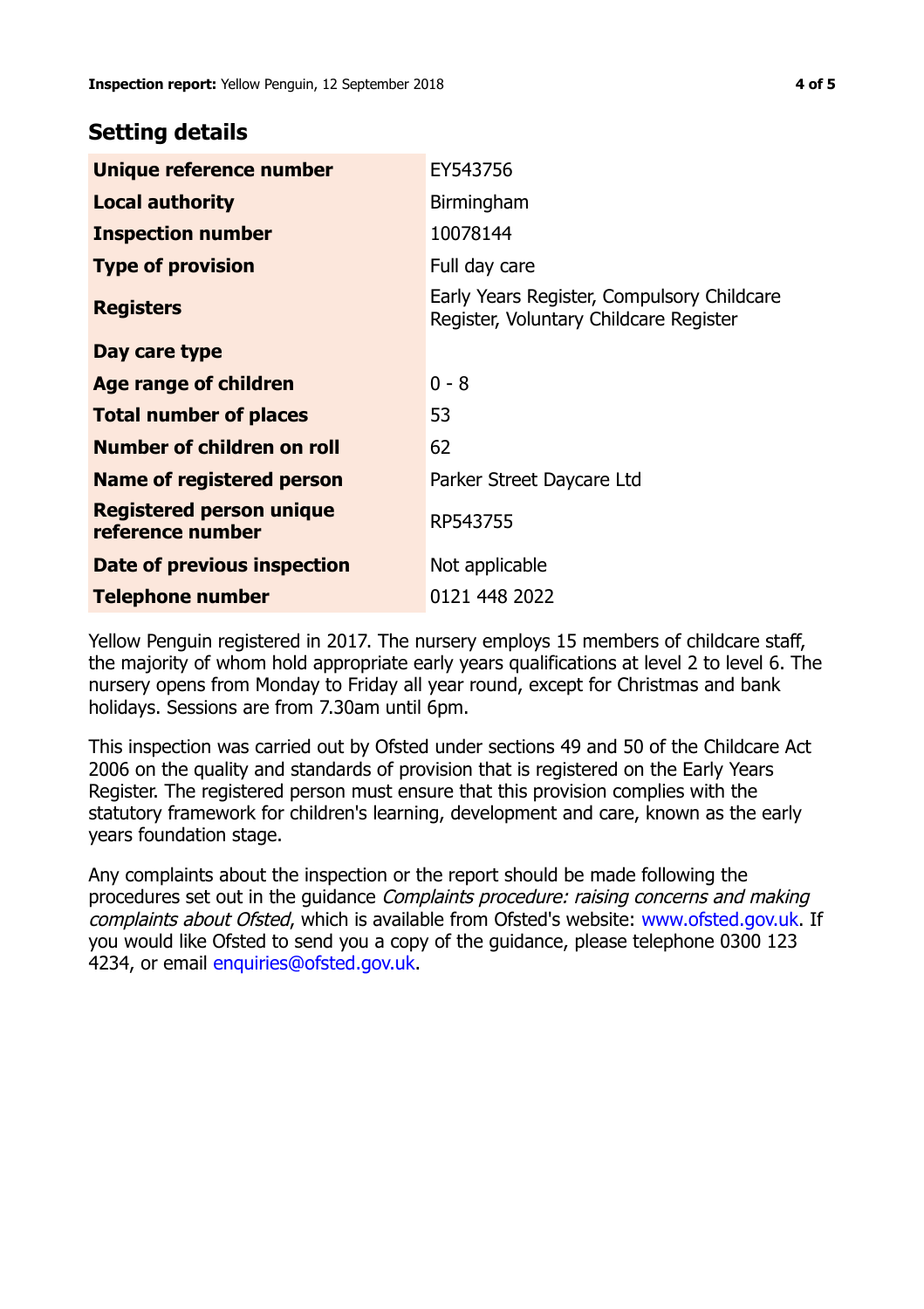# **Setting details**

| Unique reference number                             | EY543756                                                                             |
|-----------------------------------------------------|--------------------------------------------------------------------------------------|
| <b>Local authority</b>                              | Birmingham                                                                           |
| <b>Inspection number</b>                            | 10078144                                                                             |
| <b>Type of provision</b>                            | Full day care                                                                        |
| <b>Registers</b>                                    | Early Years Register, Compulsory Childcare<br>Register, Voluntary Childcare Register |
| Day care type                                       |                                                                                      |
| Age range of children                               | $0 - 8$                                                                              |
| <b>Total number of places</b>                       | 53                                                                                   |
| Number of children on roll                          | 62                                                                                   |
| Name of registered person                           | Parker Street Daycare Ltd                                                            |
| <b>Registered person unique</b><br>reference number | RP543755                                                                             |
| Date of previous inspection                         | Not applicable                                                                       |
| <b>Telephone number</b>                             | 0121 448 2022                                                                        |

Yellow Penguin registered in 2017. The nursery employs 15 members of childcare staff, the majority of whom hold appropriate early years qualifications at level 2 to level 6. The nursery opens from Monday to Friday all year round, except for Christmas and bank holidays. Sessions are from 7.30am until 6pm.

This inspection was carried out by Ofsted under sections 49 and 50 of the Childcare Act 2006 on the quality and standards of provision that is registered on the Early Years Register. The registered person must ensure that this provision complies with the statutory framework for children's learning, development and care, known as the early years foundation stage.

Any complaints about the inspection or the report should be made following the procedures set out in the guidance Complaints procedure: raising concerns and making complaints about Ofsted, which is available from Ofsted's website: www.ofsted.gov.uk. If you would like Ofsted to send you a copy of the guidance, please telephone 0300 123 4234, or email [enquiries@ofsted.gov.uk.](mailto:enquiries@ofsted.gov.uk)